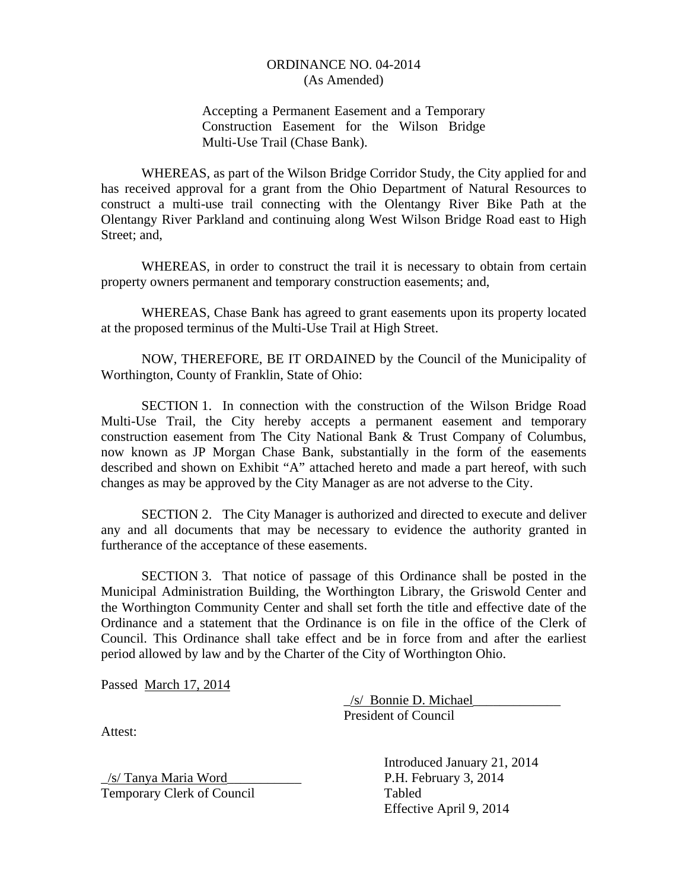### ORDINANCE NO. 04-2014 (As Amended)

### Accepting a Permanent Easement and a Temporary Construction Easement for the Wilson Bridge Multi-Use Trail (Chase Bank).

WHEREAS, as part of the Wilson Bridge Corridor Study, the City applied for and has received approval for a grant from the Ohio Department of Natural Resources to construct a multi-use trail connecting with the Olentangy River Bike Path at the Olentangy River Parkland and continuing along West Wilson Bridge Road east to High Street; and,

WHEREAS, in order to construct the trail it is necessary to obtain from certain property owners permanent and temporary construction easements; and,

WHEREAS, Chase Bank has agreed to grant easements upon its property located at the proposed terminus of the Multi-Use Trail at High Street.

NOW, THEREFORE, BE IT ORDAINED by the Council of the Municipality of Worthington, County of Franklin, State of Ohio:

SECTION 1. In connection with the construction of the Wilson Bridge Road Multi-Use Trail, the City hereby accepts a permanent easement and temporary construction easement from The City National Bank & Trust Company of Columbus, now known as JP Morgan Chase Bank, substantially in the form of the easements described and shown on Exhibit "A" attached hereto and made a part hereof, with such changes as may be approved by the City Manager as are not adverse to the City.

SECTION 2. The City Manager is authorized and directed to execute and deliver any and all documents that may be necessary to evidence the authority granted in furtherance of the acceptance of these easements.

SECTION 3. That notice of passage of this Ordinance shall be posted in the Municipal Administration Building, the Worthington Library, the Griswold Center and the Worthington Community Center and shall set forth the title and effective date of the Ordinance and a statement that the Ordinance is on file in the office of the Clerk of Council. This Ordinance shall take effect and be in force from and after the earliest period allowed by law and by the Charter of the City of Worthington Ohio.

Passed March 17, 2014

 \_/s/ Bonnie D. Michael\_\_\_\_\_\_\_\_\_\_\_\_\_ President of Council

Attest:

\_/s/ Tanya Maria Word\_\_\_\_\_\_\_\_\_\_\_ P.H. February 3, 2014 Temporary Clerk of Council Tabled

 Introduced January 21, 2014 Effective April 9, 2014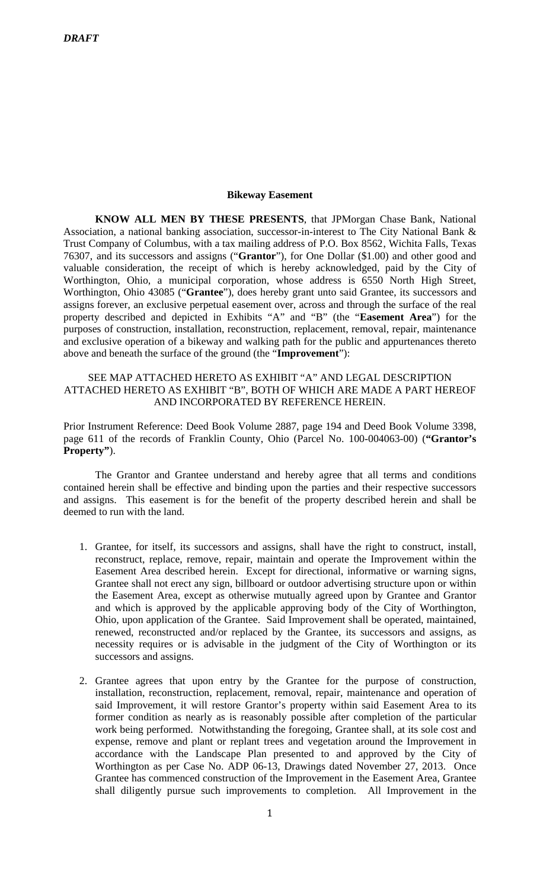#### **Bikeway Easement**

**KNOW ALL MEN BY THESE PRESENTS**, that JPMorgan Chase Bank, National Association, a national banking association, successor-in-interest to The City National Bank & Trust Company of Columbus, with a tax mailing address of P.O. Box 8562, Wichita Falls, Texas 76307, and its successors and assigns ("**Grantor**"), for One Dollar (\$1.00) and other good and valuable consideration, the receipt of which is hereby acknowledged, paid by the City of Worthington, Ohio, a municipal corporation, whose address is 6550 North High Street, Worthington, Ohio 43085 ("**Grantee**"), does hereby grant unto said Grantee, its successors and assigns forever, an exclusive perpetual easement over, across and through the surface of the real property described and depicted in Exhibits "A" and "B" (the "**Easement Area**") for the purposes of construction, installation, reconstruction, replacement, removal, repair, maintenance and exclusive operation of a bikeway and walking path for the public and appurtenances thereto above and beneath the surface of the ground (the "**Improvement**"):

## SEE MAP ATTACHED HERETO AS EXHIBIT "A" AND LEGAL DESCRIPTION ATTACHED HERETO AS EXHIBIT "B", BOTH OF WHICH ARE MADE A PART HEREOF AND INCORPORATED BY REFERENCE HEREIN.

Prior Instrument Reference: Deed Book Volume 2887, page 194 and Deed Book Volume 3398, page 611 of the records of Franklin County, Ohio (Parcel No. 100-004063-00) (**"Grantor's Property"**).

The Grantor and Grantee understand and hereby agree that all terms and conditions contained herein shall be effective and binding upon the parties and their respective successors and assigns. This easement is for the benefit of the property described herein and shall be deemed to run with the land.

- 1. Grantee, for itself, its successors and assigns, shall have the right to construct, install, reconstruct, replace, remove, repair, maintain and operate the Improvement within the Easement Area described herein. Except for directional, informative or warning signs, Grantee shall not erect any sign, billboard or outdoor advertising structure upon or within the Easement Area, except as otherwise mutually agreed upon by Grantee and Grantor and which is approved by the applicable approving body of the City of Worthington, Ohio, upon application of the Grantee. Said Improvement shall be operated, maintained, renewed, reconstructed and/or replaced by the Grantee, its successors and assigns, as necessity requires or is advisable in the judgment of the City of Worthington or its successors and assigns.
- 2. Grantee agrees that upon entry by the Grantee for the purpose of construction, installation, reconstruction, replacement, removal, repair, maintenance and operation of said Improvement, it will restore Grantor's property within said Easement Area to its former condition as nearly as is reasonably possible after completion of the particular work being performed. Notwithstanding the foregoing, Grantee shall, at its sole cost and expense, remove and plant or replant trees and vegetation around the Improvement in accordance with the Landscape Plan presented to and approved by the City of Worthington as per Case No. ADP 06-13, Drawings dated November 27, 2013. Once Grantee has commenced construction of the Improvement in the Easement Area, Grantee shall diligently pursue such improvements to completion. All Improvement in the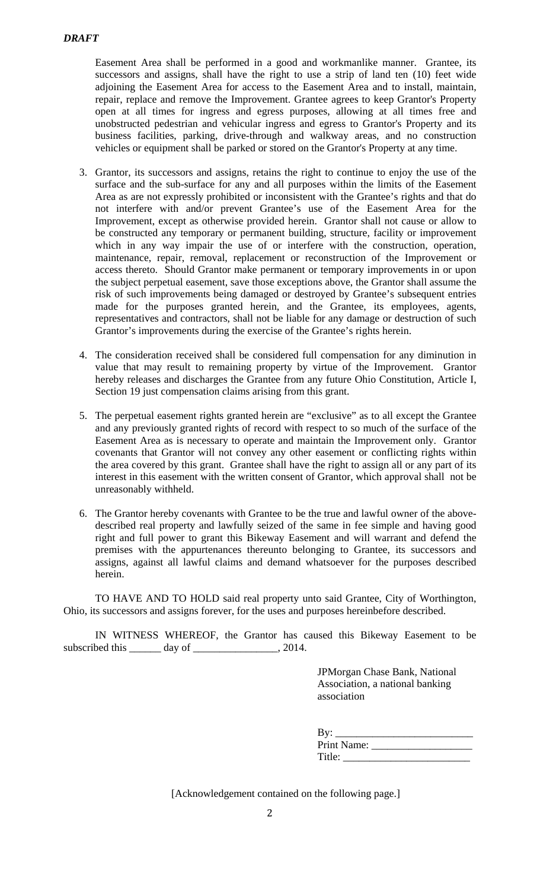Easement Area shall be performed in a good and workmanlike manner. Grantee, its successors and assigns, shall have the right to use a strip of land ten (10) feet wide adjoining the Easement Area for access to the Easement Area and to install, maintain, repair, replace and remove the Improvement. Grantee agrees to keep Grantor's Property open at all times for ingress and egress purposes, allowing at all times free and unobstructed pedestrian and vehicular ingress and egress to Grantor's Property and its business facilities, parking, drive-through and walkway areas, and no construction vehicles or equipment shall be parked or stored on the Grantor's Property at any time.

- 3. Grantor, its successors and assigns, retains the right to continue to enjoy the use of the surface and the sub-surface for any and all purposes within the limits of the Easement Area as are not expressly prohibited or inconsistent with the Grantee's rights and that do not interfere with and/or prevent Grantee's use of the Easement Area for the Improvement, except as otherwise provided herein. Grantor shall not cause or allow to be constructed any temporary or permanent building, structure, facility or improvement which in any way impair the use of or interfere with the construction, operation, maintenance, repair, removal, replacement or reconstruction of the Improvement or access thereto. Should Grantor make permanent or temporary improvements in or upon the subject perpetual easement, save those exceptions above, the Grantor shall assume the risk of such improvements being damaged or destroyed by Grantee's subsequent entries made for the purposes granted herein, and the Grantee, its employees, agents, representatives and contractors, shall not be liable for any damage or destruction of such Grantor's improvements during the exercise of the Grantee's rights herein.
- 4. The consideration received shall be considered full compensation for any diminution in value that may result to remaining property by virtue of the Improvement. Grantor hereby releases and discharges the Grantee from any future Ohio Constitution, Article I, Section 19 just compensation claims arising from this grant.
- 5. The perpetual easement rights granted herein are "exclusive" as to all except the Grantee and any previously granted rights of record with respect to so much of the surface of the Easement Area as is necessary to operate and maintain the Improvement only. Grantor covenants that Grantor will not convey any other easement or conflicting rights within the area covered by this grant. Grantee shall have the right to assign all or any part of its interest in this easement with the written consent of Grantor, which approval shall not be unreasonably withheld.
- 6. The Grantor hereby covenants with Grantee to be the true and lawful owner of the abovedescribed real property and lawfully seized of the same in fee simple and having good right and full power to grant this Bikeway Easement and will warrant and defend the premises with the appurtenances thereunto belonging to Grantee, its successors and assigns, against all lawful claims and demand whatsoever for the purposes described herein.

TO HAVE AND TO HOLD said real property unto said Grantee, City of Worthington, Ohio, its successors and assigns forever, for the uses and purposes hereinbefore described.

IN WITNESS WHEREOF, the Grantor has caused this Bikeway Easement to be subscribed this \_\_\_\_\_\_ day of \_\_\_\_\_\_\_\_\_\_\_\_\_\_\_, 2014.

> JPMorgan Chase Bank, National Association, a national banking association

| By:         |
|-------------|
| Print Name: |
| Title:      |

[Acknowledgement contained on the following page.]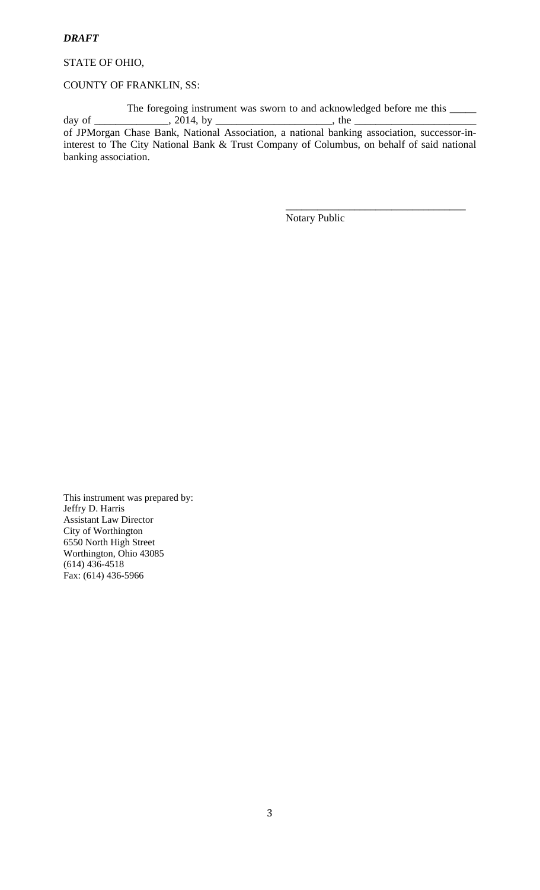### *DRAFT*

STATE OF OHIO,

#### COUNTY OF FRANKLIN, SS:

The foregoing instrument was sworn to and acknowledged before me this \_\_\_\_\_ day of \_\_\_\_\_\_\_\_\_\_\_\_\_\_, 2014, by \_\_\_\_\_\_\_\_\_\_\_\_\_\_\_\_\_\_\_\_\_\_\_\_, the \_ of JPMorgan Chase Bank, National Association, a national banking association, successor-in-

interest to The City National Bank & Trust Company of Columbus, on behalf of said national banking association.

 $\overline{\phantom{a}}$  , which is a set of the set of the set of the set of the set of the set of the set of the set of the set of the set of the set of the set of the set of the set of the set of the set of the set of the set of th

Notary Public

This instrument was prepared by: Jeffry D. Harris Assistant Law Director City of Worthington 6550 North High Street Worthington, Ohio 43085 (614) 436-4518 Fax: (614) 436-5966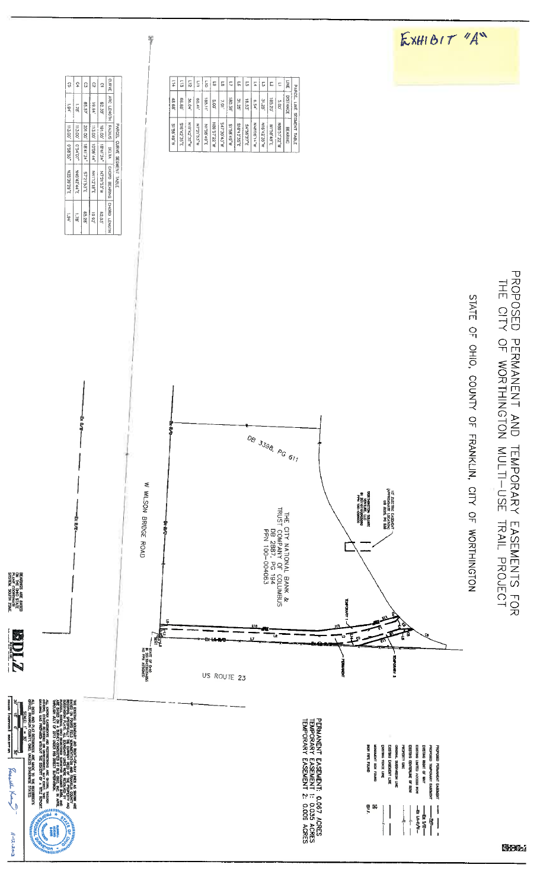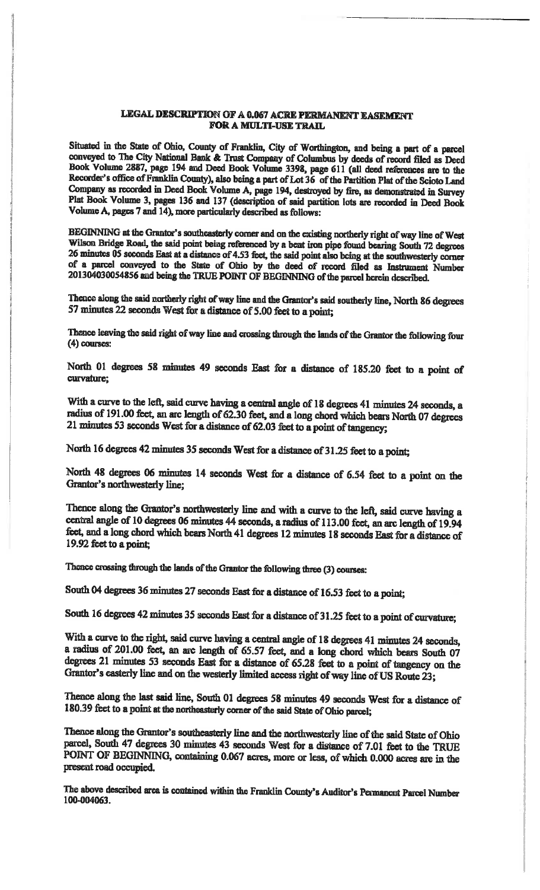### LEGAL DESCRIPTION OF A 0.067 ACRE PERMANENT EASEMENT **FOR A MULTI-USE TRAIL**

Situated in the State of Ohio, County of Franklin, City of Worthington, and being a part of a parcel conveyed to The City National Bank & Trust Company of Columbus by deeds of record filed as Deed Book Volume 2887, page 194 and Deed Book Volume 3398, page 611 (all deed references are to the Recorder's office of Franklin County), also being a part of Lot 36 of the Partition Plat of the Scioto Land Company as recorded in Deed Book Volume A, page 194, destroyed by fire, as demonstrated in Survey Plat Book Volume 3, pages 136 and 137 (description of said partition lots are recorded in Deed Book Volume A, pages 7 and 14), more particularly described as follows:

BEGINNING at the Grantor's southeasterly corner and on the existing northerly right of way line of West Wilson Bridge Road, the said point being referenced by a bent iron pipe found bearing South 72 degrees 26 minutes 05 seconds East at a distance of 4.53 feet, the said point also being at the southwesterly corner of a parcel conveyed to the State of Ohio by the deed of record filed as Instrument Number 201304030054856 and being the TRUE POINT OF BEGINNING of the parcel herein described.

Thence along the said northerly right of way line and the Grantor's said southerly line, North 86 degrees 57 minutes 22 seconds West for a distance of 5.00 feet to a point;

Thence leaving the said right of way line and crossing through the lands of the Grantor the following four  $(4)$  courses:

North 01 degrees 58 minutes 49 seconds East for a distance of 185.20 feet to a point of curvature;

With a curve to the left, said curve having a central angle of 18 degrees 41 minutes 24 seconds, a radius of 191.00 feet, an arc length of 62.30 feet, and a long chord which bears North 07 degrees 21 minutes 53 seconds West for a distance of 62.03 feet to a point of tangency;

North 16 degrees 42 minutes 35 seconds West for a distance of 31.25 feet to a point;

North 48 degrees 06 minutes 14 seconds West for a distance of 6.54 feet to a point on the Grantor's northwesterly line;

Thence along the Grantor's northwesterly line and with a curve to the left, said curve having a central angle of 10 degrees 06 minutes 44 seconds, a radius of 113.00 feet, an arc length of 19.94 feet, and a long chord which bears North 41 degrees 12 minutes 18 seconds East for a distance of 19.92 feet to a point;

Thence crossing through the lands of the Grantor the following three (3) courses:

South 04 degrees 36 minutes 27 seconds East for a distance of 16.53 feet to a point;

South 16 degrees 42 minutes 35 seconds East for a distance of 31.25 feet to a point of curvature;

With a curve to the right, said curve having a central angle of 18 degrees 41 minutes 24 seconds, a radius of 201.00 feet, an arc length of 65.57 feet, and a long chord which bears South 07 degrees 21 minutes 53 seconds East for a distance of 65.28 feet to a point of tangency on the Grantor's easterly line and on the westerly limited access right of way line of US Route 23;

Thence along the last said line, South 01 degrees 58 minutes 49 seconds West for a distance of 180.39 feet to a point at the northeasterly corner of the said State of Ohio parcel;

Thence along the Grantor's southeasterly line and the northwesterly line of the said State of Ohio parcel, South 47 degrees 30 minutes 43 seconds West for a distance of 7.01 feet to the TRUE POINT OF BEGINNING, containing 0.067 acres, more or less, of which 0.000 acres are in the present road occupied.

The above described area is contained within the Franklin County's Auditor's Permanent Parcel Number 100-004063.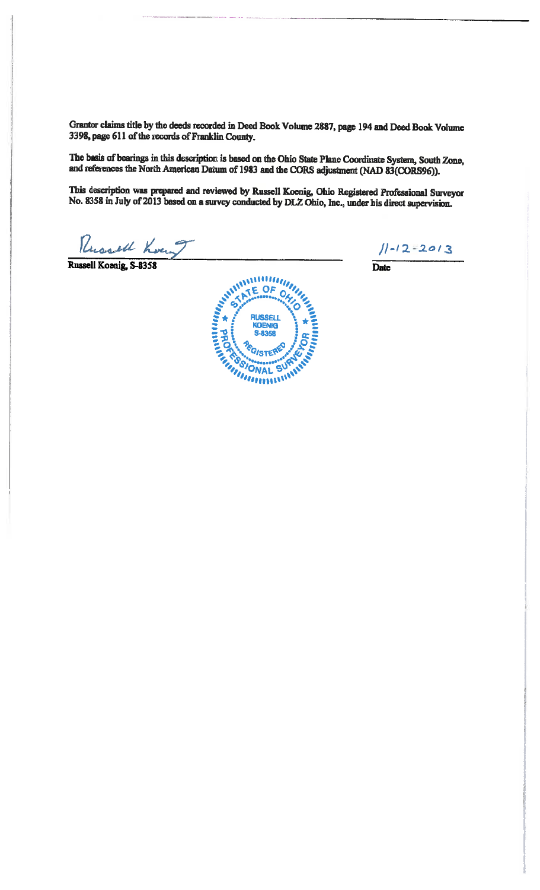Grantor claims title by the deeds recorded in Deed Book Volume 2887, page 194 and Deed Book Volume 3398, page 611 of the records of Franklin County.

The basis of bearings in this description is based on the Ohio State Plane Coordinate System, South Zone, and references the North American Datum of 1983 and the CORS adjustment (NAD 83(CORS96)).

This description was prepared and reviewed by Russell Koenig, Ohio Registered Professional Surveyor<br>No. 8358 in July of 2013 based on a survey conducted by DLZ Ohio, Inc., under his direct supervision.

Russell Koun

Russell Koenig, S-8358



 $11 - 12 - 2013$ 

Date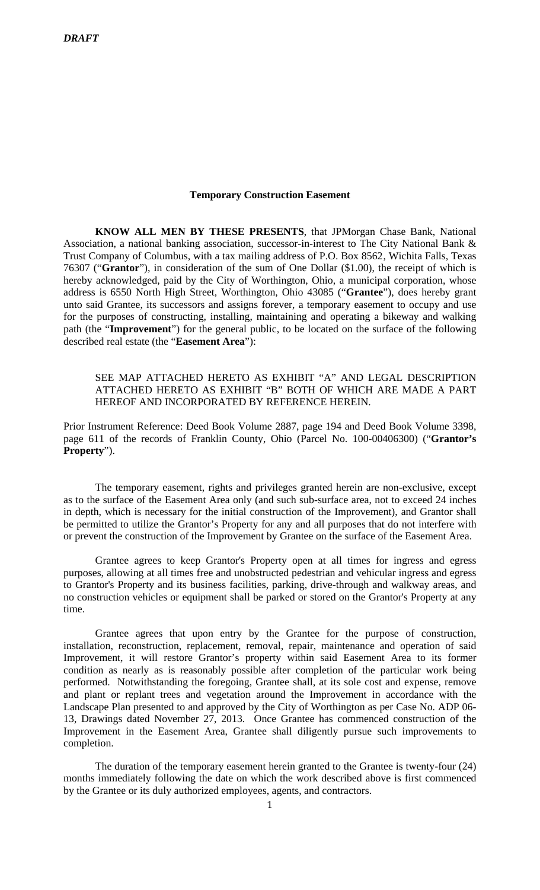#### **Temporary Construction Easement**

**KNOW ALL MEN BY THESE PRESENTS**, that JPMorgan Chase Bank, National Association, a national banking association, successor-in-interest to The City National Bank & Trust Company of Columbus, with a tax mailing address of P.O. Box 8562, Wichita Falls, Texas 76307 ("**Grantor**"), in consideration of the sum of One Dollar (\$1.00), the receipt of which is hereby acknowledged, paid by the City of Worthington, Ohio, a municipal corporation, whose address is 6550 North High Street, Worthington, Ohio 43085 ("**Grantee**"), does hereby grant unto said Grantee, its successors and assigns forever, a temporary easement to occupy and use for the purposes of constructing, installing, maintaining and operating a bikeway and walking path (the "**Improvement**") for the general public, to be located on the surface of the following described real estate (the "**Easement Area**"):

## SEE MAP ATTACHED HERETO AS EXHIBIT "A" AND LEGAL DESCRIPTION ATTACHED HERETO AS EXHIBIT "B" BOTH OF WHICH ARE MADE A PART HEREOF AND INCORPORATED BY REFERENCE HEREIN.

Prior Instrument Reference: Deed Book Volume 2887, page 194 and Deed Book Volume 3398, page 611 of the records of Franklin County, Ohio (Parcel No. 100-00406300) ("**Grantor's Property**").

The temporary easement, rights and privileges granted herein are non-exclusive, except as to the surface of the Easement Area only (and such sub-surface area, not to exceed 24 inches in depth, which is necessary for the initial construction of the Improvement), and Grantor shall be permitted to utilize the Grantor's Property for any and all purposes that do not interfere with or prevent the construction of the Improvement by Grantee on the surface of the Easement Area.

Grantee agrees to keep Grantor's Property open at all times for ingress and egress purposes, allowing at all times free and unobstructed pedestrian and vehicular ingress and egress to Grantor's Property and its business facilities, parking, drive-through and walkway areas, and no construction vehicles or equipment shall be parked or stored on the Grantor's Property at any time.

Grantee agrees that upon entry by the Grantee for the purpose of construction, installation, reconstruction, replacement, removal, repair, maintenance and operation of said Improvement, it will restore Grantor's property within said Easement Area to its former condition as nearly as is reasonably possible after completion of the particular work being performed. Notwithstanding the foregoing, Grantee shall, at its sole cost and expense, remove and plant or replant trees and vegetation around the Improvement in accordance with the Landscape Plan presented to and approved by the City of Worthington as per Case No. ADP 06- 13, Drawings dated November 27, 2013. Once Grantee has commenced construction of the Improvement in the Easement Area, Grantee shall diligently pursue such improvements to completion.

The duration of the temporary easement herein granted to the Grantee is twenty-four (24) months immediately following the date on which the work described above is first commenced by the Grantee or its duly authorized employees, agents, and contractors.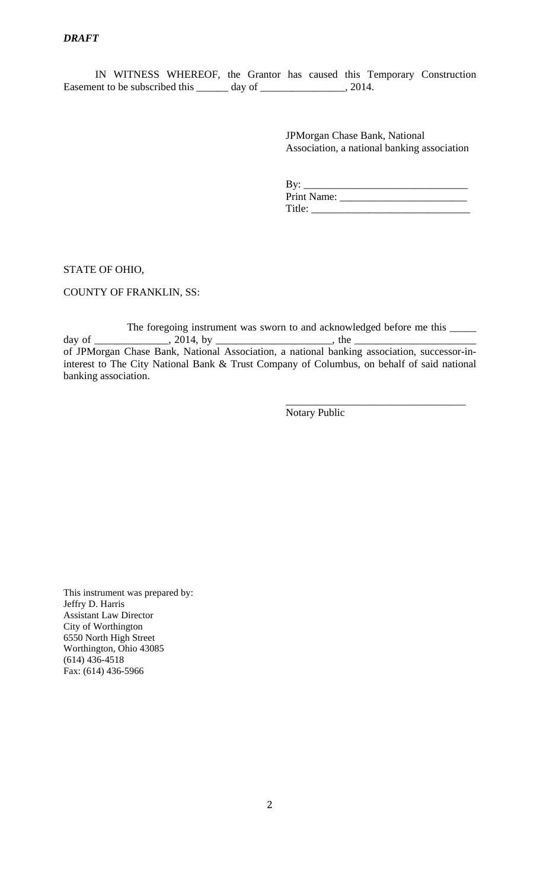IN WITNESS WHEREOF, the Grantor has caused this Temporary Construction Easement to be subscribed this \_\_\_\_\_\_ day of \_\_\_\_\_\_\_\_\_\_\_\_\_\_, 2014.

> JPMorgan Chase Bank, National Association, a national banking association

| By:         |
|-------------|
| Print Name: |
| Title:      |

STATE OF OHIO,

COUNTY OF FRANKLIN, SS:

The foregoing instrument was sworn to and acknowledged before me this  $\_\_$ day of \_\_\_\_\_\_\_\_\_\_\_\_\_\_, 2014, by \_\_\_\_\_\_\_\_\_\_\_\_\_\_\_\_\_\_\_\_\_\_, the \_\_\_\_\_\_\_\_\_\_\_\_\_\_\_\_\_\_\_\_\_\_\_ of JPMorgan Chase Bank, National Association, a national banking association, successor-ininterest to The City National Bank & Trust Company of Columbus, on behalf of said national banking association.

 $\overline{\phantom{a}}$  , which is a set of the set of the set of the set of the set of the set of the set of the set of the set of the set of the set of the set of the set of the set of the set of the set of the set of the set of th

Notary Public

This instrument was prepared by: Jeffry D. Harris Assistant Law Director City of Worthington 6550 North High Street Worthington, Ohio 43085 (614) 436-4518 Fax: (614) 436-5966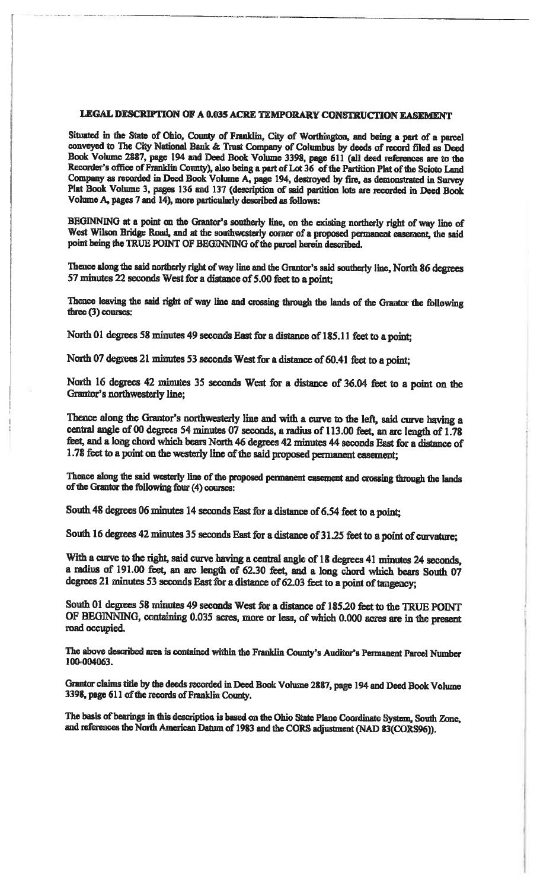# LEGAL DESCRIPTION OF A 0.035 ACRE TEMPORARY CONSTRUCTION EASEMENT

Situated in the State of Ohio, County of Franklin, City of Worthington, and being a part of a parcel conveyed to The City National Bank & Trust Company of Columbus by deeds of record filed as Deed Book Volume 2887, page 194 and Deed Book Volume 3398, page 611 (all deed references are to the Recorder's office of Franklin County), also being a part of Lot 36 of the Partition Plat of the Scioto Land Company as recorded in Deed Book Volume A, page 194, destroyed by fire, as demonstrated in Survey Plat Book Volume 3, pages 136 and 137 (description of said partition lots are recorded in Deed Book Volume A, pages 7 and 14), more particularly described as follows:

BEGINNING at a point on the Grantor's southerly line, on the existing northerly right of way line of West Wilson Bridge Road, and at the southwesterly corner of a proposed permanent easement, the said point being the TRUE POINT OF BEGINNING of the parcel herein described.

Thence along the said northerly right of way line and the Grantor's said southerly line, North 86 degrees 57 minutes 22 seconds West for a distance of 5.00 feet to a point;

Thence leaving the said right of way line and crossing through the lands of the Grantor the following three (3) courses:

North 01 degrees 58 minutes 49 seconds East for a distance of 185.11 feet to a point;

North 07 degrees 21 minutes 53 seconds West for a distance of 60.41 feet to a point;

North 16 degrees 42 minutes 35 seconds West for a distance of 36.04 feet to a point on the Grantor's northwesterly line:

Thence along the Grantor's northwesterly line and with a curve to the left, said curve having a central angle of 00 degrees 54 minutes 07 seconds, a radius of 113.00 feet, an arc length of 1.78 feet, and a long chord which bears North 46 degrees 42 minutes 44 seconds East for a distance of 1.78 feet to a point on the westerly line of the said proposed permanent easement;

Thence along the said westerly line of the proposed permanent easement and crossing through the lands of the Grantor the following four (4) courses:

South 48 degrees 06 minutes 14 seconds East for a distance of 6.54 feet to a point;

South 16 degrees 42 minutes 35 seconds East for a distance of 31.25 feet to a point of curvature;

With a curve to the right, said curve having a central angle of 18 degrees 41 minutes 24 seconds, a radius of 191.00 feet, an arc length of 62.30 feet, and a long chord which bears South 07 degrees 21 minutes 53 seconds East for a distance of 62.03 feet to a point of tangency;

South 01 degrees 58 minutes 49 seconds West for a distance of 185.20 feet to the TRUE POINT OF BEGINNING, containing 0.035 acres, more or less, of which 0.000 acres are in the present road occupied.

The above described area is contained within the Franklin County's Auditor's Permanent Parcel Number 100-004063.

Grantor claims title by the deeds recorded in Deed Book Volume 2887, page 194 and Deed Book Volume 3398, page 611 of the records of Franklin County.

The basis of bearings in this description is based on the Ohio State Plane Coordinate System, South Zone, and references the North American Datum of 1983 and the CORS adjustment (NAD 83(CORS96)).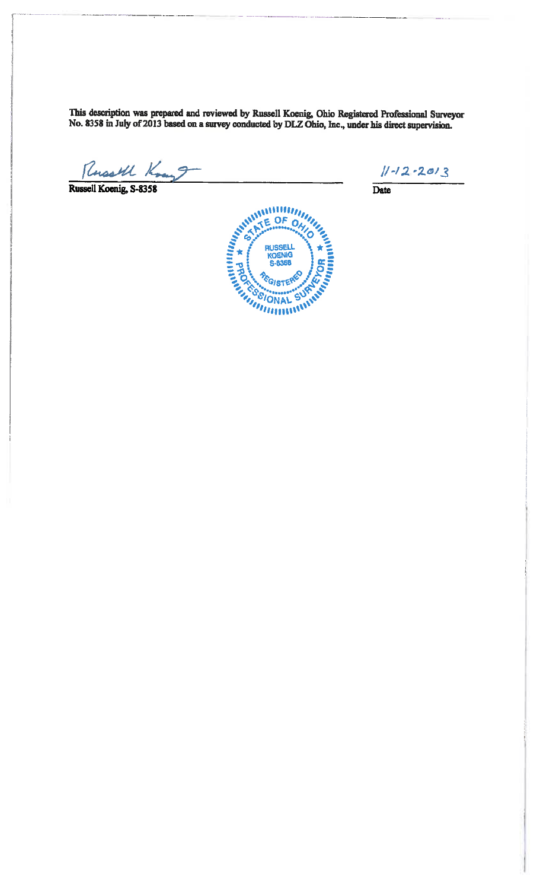This description was prepared and reviewed by Russell Koenig, Ohio Registered Professional Surveyor No. 8358 in July of 2013 based on a survey conducted by DLZ Ohio, Inc., under his direct supervision.

Russell Koenig, 5-8358 9

 $11 - 12 - 2013$ 

 $\overline{\text{Date}}$